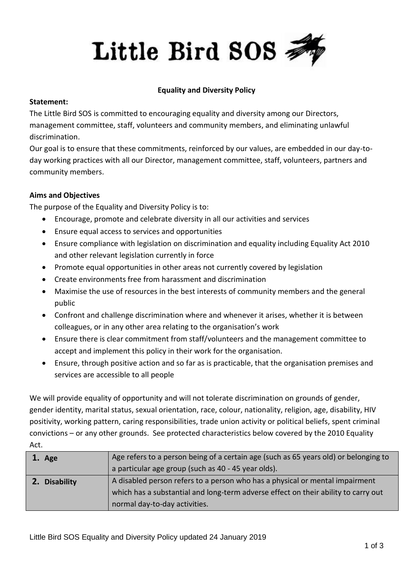

#### **Equality and Diversity Policy**

#### **Statement:**

The Little Bird SOS is committed to encouraging equality and diversity among our Directors, management committee, staff, volunteers and community members, and eliminating unlawful discrimination.

Our goal is to ensure that these commitments, reinforced by our values, are embedded in our day-today working practices with all our Director, management committee, staff, volunteers, partners and community members.

## **Aims and Objectives**

The purpose of the Equality and Diversity Policy is to:

- Encourage, promote and celebrate diversity in all our activities and services
- Ensure equal access to services and opportunities
- Ensure compliance with legislation on discrimination and equality including Equality Act 2010 and other relevant legislation currently in force
- Promote equal opportunities in other areas not currently covered by legislation
- Create environments free from harassment and discrimination
- Maximise the use of resources in the best interests of community members and the general public
- Confront and challenge discrimination where and whenever it arises, whether it is between colleagues, or in any other area relating to the organisation's work
- Ensure there is clear commitment from staff/volunteers and the management committee to accept and implement this policy in their work for the organisation.
- Ensure, through positive action and so far as is practicable, that the organisation premises and services are accessible to all people

We will provide equality of opportunity and will not tolerate discrimination on grounds of gender, gender identity, marital status, sexual orientation, race, colour, nationality, religion, age, disability, HIV positivity, working pattern, caring responsibilities, trade union activity or political beliefs, spent criminal convictions – or any other grounds. See protected characteristics below covered by the 2010 Equality Act.

| 1. Age        | Age refers to a person being of a certain age (such as 65 years old) or belonging to |
|---------------|--------------------------------------------------------------------------------------|
|               | a particular age group (such as 40 - 45 year olds).                                  |
| 2. Disability | A disabled person refers to a person who has a physical or mental impairment         |
|               | which has a substantial and long-term adverse effect on their ability to carry out   |
|               | normal day-to-day activities.                                                        |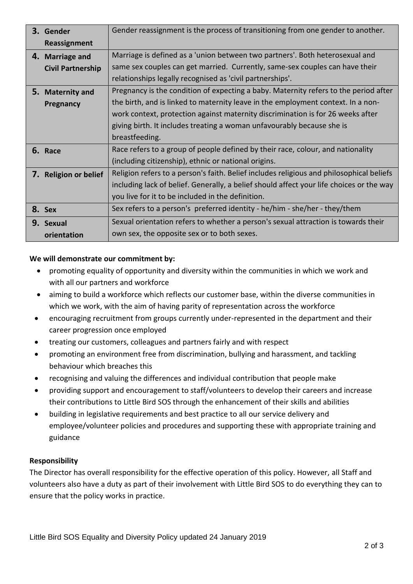| 3. Gender                | Gender reassignment is the process of transitioning from one gender to another.          |
|--------------------------|------------------------------------------------------------------------------------------|
| Reassignment             |                                                                                          |
| 4. Marriage and          | Marriage is defined as a 'union between two partners'. Both heterosexual and             |
| <b>Civil Partnership</b> | same sex couples can get married. Currently, same-sex couples can have their             |
|                          | relationships legally recognised as 'civil partnerships'.                                |
| 5. Maternity and         | Pregnancy is the condition of expecting a baby. Maternity refers to the period after     |
| Pregnancy                | the birth, and is linked to maternity leave in the employment context. In a non-         |
|                          | work context, protection against maternity discrimination is for 26 weeks after          |
|                          | giving birth. It includes treating a woman unfavourably because she is                   |
|                          | breastfeeding.                                                                           |
| 6. Race                  | Race refers to a group of people defined by their race, colour, and nationality          |
|                          | (including citizenship), ethnic or national origins.                                     |
| 7. Religion or belief    | Religion refers to a person's faith. Belief includes religious and philosophical beliefs |
|                          | including lack of belief. Generally, a belief should affect your life choices or the way |
|                          | you live for it to be included in the definition.                                        |
| 8. Sex                   | Sex refers to a person's preferred identity - he/him - she/her - they/them               |
| 9. Sexual                | Sexual orientation refers to whether a person's sexual attraction is towards their       |
| orientation              | own sex, the opposite sex or to both sexes.                                              |

## **We will demonstrate our commitment by:**

- promoting equality of opportunity and diversity within the communities in which we work and with all our partners and workforce
- aiming to build a workforce which reflects our customer base, within the diverse communities in which we work, with the aim of having parity of representation across the workforce
- encouraging recruitment from groups currently under-represented in the department and their career progression once employed
- treating our customers, colleagues and partners fairly and with respect
- promoting an environment free from discrimination, bullying and harassment, and tackling behaviour which breaches this
- recognising and valuing the differences and individual contribution that people make
- providing support and encouragement to staff/volunteers to develop their careers and increase their contributions to Little Bird SOS through the enhancement of their skills and abilities
- building in legislative requirements and best practice to all our service delivery and employee/volunteer policies and procedures and supporting these with appropriate training and guidance

## **Responsibility**

The Director has overall responsibility for the effective operation of this policy. However, all Staff and volunteers also have a duty as part of their involvement with Little Bird SOS to do everything they can to ensure that the policy works in practice.